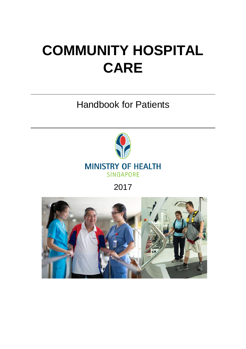# **COMMUNITY HOSPITAL CARE**

Handbook for Patients



2017

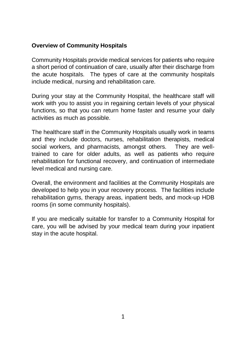## **Overview of Community Hospitals**

Community Hospitals provide medical services for patients who require a short period of continuation of care, usually after their discharge from the acute hospitals. The types of care at the community hospitals include medical, nursing and rehabilitation care.

During your stay at the Community Hospital, the healthcare staff will work with you to assist you in regaining certain levels of your physical functions, so that you can return home faster and resume your daily activities as much as possible.

The healthcare staff in the Community Hospitals usually work in teams and they include doctors, nurses, rehabilitation therapists, medical social workers, and pharmacists, amongst others. They are welltrained to care for older adults, as well as patients who require rehabilitation for functional recovery, and continuation of intermediate level medical and nursing care.

Overall, the environment and facilities at the Community Hospitals are developed to help you in your recovery process. The facilities include rehabilitation gyms, therapy areas, inpatient beds, and mock-up HDB rooms (in some community hospitals).

If you are medically suitable for transfer to a Community Hospital for care, you will be advised by your medical team during your inpatient stay in the acute hospital.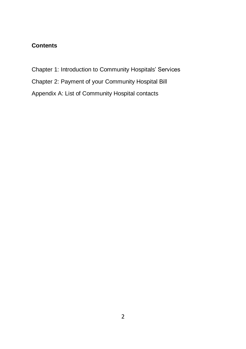# **Contents**

- Chapter 1: Introduction to Community Hospitals' Services
- Chapter 2: Payment of your Community Hospital Bill
- Appendix A: List of Community Hospital contacts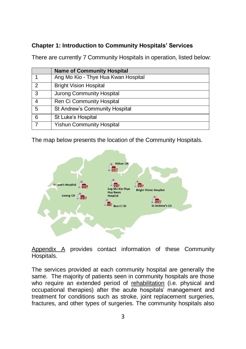## **Chapter 1: Introduction to Community Hospitals' Services**

There are currently 7 Community Hospitals in operation, listed below:

|   | <b>Name of Community Hospital</b>   |
|---|-------------------------------------|
|   | Ang Mo Kio - Thye Hua Kwan Hospital |
| 2 | <b>Bright Vision Hospital</b>       |
| 3 | Jurong Community Hospital           |
| 4 | Ren Ci Community Hospital           |
| 5 | St Andrew's Community Hospital      |
| 6 | St Luke's Hospital                  |
|   | <b>Yishun Community Hospital</b>    |

The map below presents the location of the Community Hospitals.



Appendix A provides contact information of these Community Hospitals.

The services provided at each community hospital are generally the same. The majority of patients seen in community hospitals are those who require an extended period of rehabilitation (i.e. physical and occupational therapies) after the acute hospitals' management and treatment for conditions such as stroke, joint replacement surgeries, fractures, and other types of surgeries. The community hospitals also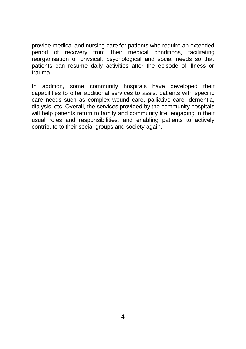provide medical and nursing care for patients who require an extended period of recovery from their medical conditions, facilitating reorganisation of physical, psychological and social needs so that patients can resume daily activities after the episode of illness or trauma.

In addition, some community hospitals have developed their capabilities to offer additional services to assist patients with specific care needs such as complex wound care, palliative care, dementia, dialysis, etc. Overall, the services provided by the community hospitals will help patients return to family and community life, engaging in their usual roles and responsibilities, and enabling patients to actively contribute to their social groups and society again.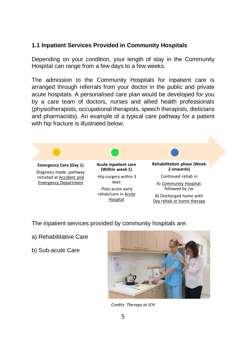#### **1.1 Inpatient Services Provided in Community Hospitals**

Depending on your condition, your length of stay in the Community Hospital can range from a few days to a few weeks.

The admission to the Community Hospitals for inpatient care is arranged through referrals from your doctor in the public and private acute hospitals. A personalised care plan would be developed for you by a care team of doctors, nurses and allied health professionals (physiotherapists, occupational therapists, speech therapists, dieticians and pharmacists). An example of a typical care pathway for a patient with hip fracture is illustrated below.



The inpatient services provided by community hospitals are:

- a) Rehabilitative Care
- b) Sub-acute Care



*Credits: Therapy at JCH*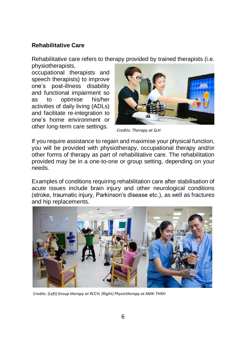## **Rehabilitative Care**

Rehabilitative care refers to therapy provided by trained therapists (i.e. physiotherapists,

occupational therapists and speech therapists) to improve one's post-illness disability and functional impairment so as to optimise his/her activities of daily living (ADLs) and facilitate re-integration to one's home environment or other long-term care settings.



*Credits: Therapy at SLH*

If you require assistance to regain and maximise your physical function, you will be provided with physiotherapy, occupational therapy and/or other forms of therapy as part of rehabilitative care. The rehabilitation provided may be in a one-to-one or group setting, depending on your needs.

Examples of conditions requiring rehabilitation care after stabilisation of acute issues include brain injury and other neurological conditions (stroke, traumatic injury, Parkinson's disease etc.), as well as fractures and hip replacements.



*Credits: (Left) Group therapy at RCCH, (Right) Physiotherapy at AMK-THKH*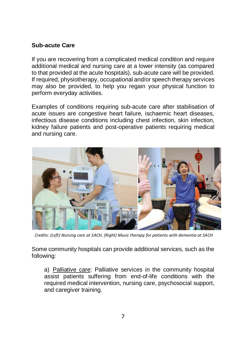## **Sub-acute Care**

If you are recovering from a complicated medical condition and require additional medical and nursing care at a lower intensity (as compared to that provided at the acute hospitals), sub-acute care will be provided. If required, physiotherapy, occupational and/or speech therapy services may also be provided, to help you regain your physical function to perform everyday activities.

Examples of conditions requiring sub-acute care after stabilisation of acute issues are congestive heart failure, ischaemic heart diseases, infectious disease conditions including chest infection, skin infection, kidney failure patients and post-operative patients requiring medical and nursing care.



*Credits: (Left) Nursing care at SACH, (Right) Music therapy for patients with dementia at SACH*

Some community hospitals can provide additional services, such as the following:

a) Palliative care: Palliative services in the community hospital assist patients suffering from end-of-life conditions with the required medical intervention, nursing care, psychosocial support, and caregiver training.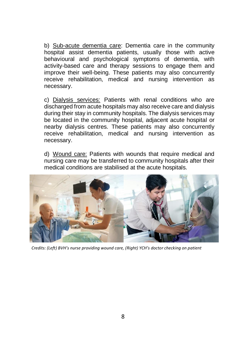b) Sub-acute dementia care: Dementia care in the community hospital assist dementia patients, usually those with active behavioural and psychological symptoms of dementia, with activity-based care and therapy sessions to engage them and improve their well-being. These patients may also concurrently receive rehabilitation, medical and nursing intervention as necessary.

c) Dialysis services: Patients with renal conditions who are discharged from acute hospitals may also receive care and dialysis during their stay in community hospitals. The dialysis services may be located in the community hospital, adjacent acute hospital or nearby dialysis centres. These patients may also concurrently receive rehabilitation, medical and nursing intervention as necessary.

d) Wound care: Patients with wounds that require medical and nursing care may be transferred to community hospitals after their medical conditions are stabilised at the acute hospitals.



*Credits: (Left) BVH's nurse providing wound care, (Right) YCH's doctor checking on patient*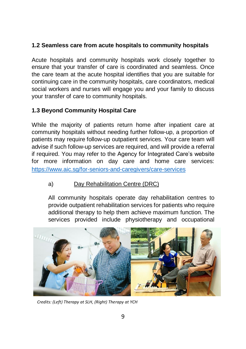# **1.2 Seamless care from acute hospitals to community hospitals**

Acute hospitals and community hospitals work closely together to ensure that your transfer of care is coordinated and seamless. Once the care team at the acute hospital identifies that you are suitable for continuing care in the community hospitals, care coordinators, medical social workers and nurses will engage you and your family to discuss your transfer of care to community hospitals.

# **1.3 Beyond Community Hospital Care**

While the majority of patients return home after inpatient care at community hospitals without needing further follow-up, a proportion of patients may require follow-up outpatient services. Your care team will advise if such follow-up services are required, and will provide a referral if required. You may refer to the Agency for Integrated Care's website for more information on day care and home care services: <https://www.aic.sg/for-seniors-and-caregivers/care-services>

# a) Day Rehabilitation Centre (DRC)

All community hospitals operate day rehabilitation centres to provide outpatient rehabilitation services for patients who require additional therapy to help them achieve maximum function. The services provided include physiotherapy and occupational



*Credits: (Left) Therapy at SLH, (Right) Therapy at YCH*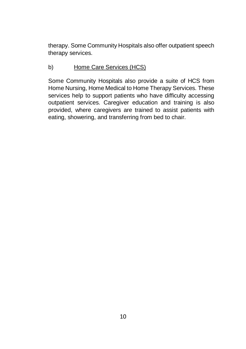therapy. Some Community Hospitals also offer outpatient speech therapy services.

## b) Home Care Services (HCS)

Some Community Hospitals also provide a suite of HCS from Home Nursing, Home Medical to Home Therapy Services. These services help to support patients who have difficulty accessing outpatient services. Caregiver education and training is also provided, where caregivers are trained to assist patients with eating, showering, and transferring from bed to chair.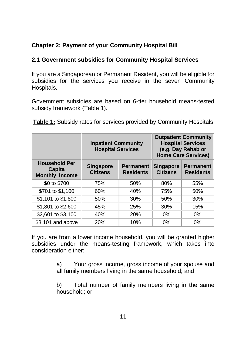# **Chapter 2: Payment of your Community Hospital Bill**

## **2.1 Government subsidies for Community Hospital Services**

If you are a Singaporean or Permanent Resident, you will be eligible for subsidies for the services you receive in the seven Community Hospitals.

Government subsidies are based on 6-tier household means-tested subsidy framework (Table 1).

| Table 1: Subsidy rates for services provided by Community Hospitals |  |  |  |
|---------------------------------------------------------------------|--|--|--|
|---------------------------------------------------------------------|--|--|--|

|                                                         | <b>Inpatient Community</b><br><b>Hospital Services</b> |                                      |                                     | <b>Outpatient Community</b><br><b>Hospital Services</b><br>(e.g. Day Rehab or<br><b>Home Care Services)</b> |
|---------------------------------------------------------|--------------------------------------------------------|--------------------------------------|-------------------------------------|-------------------------------------------------------------------------------------------------------------|
| <b>Household Per</b><br>Capita<br><b>Monthly Income</b> | <b>Singapore</b><br><b>Citizens</b>                    | <b>Permanent</b><br><b>Residents</b> | <b>Singapore</b><br><b>Citizens</b> | <b>Permanent</b><br><b>Residents</b>                                                                        |
| \$0 to \$700                                            | 75%                                                    | 50%                                  | 80%                                 | 55%                                                                                                         |
| \$701 to \$1,100                                        | 60%                                                    | 40%                                  | 75%                                 | 50%                                                                                                         |
| \$1,101 to \$1,800                                      | 50%                                                    | 30%                                  | 50%                                 | 30%                                                                                                         |
| \$1,801 to \$2,600                                      | 45%                                                    | 25%                                  | 30%                                 | 15%                                                                                                         |
| \$2,601 to \$3,100                                      | 40%                                                    | <b>20%</b>                           | $0\%$                               | $0\%$                                                                                                       |
| \$3.101 and above                                       | <b>20%</b>                                             | 10%                                  | 0%                                  | 0%                                                                                                          |

If you are from a lower income household, you will be granted higher subsidies under the means-testing framework, which takes into consideration either:

> a) Your gross income, gross income of your spouse and all family members living in the same household; and

> b) Total number of family members living in the same household; or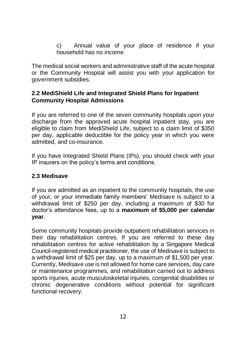c) Annual value of your place of residence if your household has no income

The medical social workers and administrative staff of the acute hospital or the Community Hospital will assist you with your application for government subsidies.

#### **2.2 MediShield Life and Integrated Shield Plans for Inpatient Community Hospital Admissions**

If you are referred to one of the seven community hospitals upon your discharge from the approved acute hospital inpatient stay, you are eligible to claim from MediShield Life, subject to a claim limit of \$350 per day, applicable deductible for the policy year in which you were admitted, and co-insurance.

If you have Integrated Shield Plans (IPs), you should check with your IP insurers on the policy's terms and conditions.

#### **2.3 Medisave**

If you are admitted as an inpatient to the community hospitals, the use of your, or your immediate family members' Medisave is subject to a withdrawal limit of \$250 per day, including a maximum of \$30 for doctor's attendance fees, up to a **maximum of \$5,000 per calendar year**.

Some community hospitals provide outpatient rehabilitation services in their day rehabilitation centres. If you are referred to these day rehabilitation centres for active rehabilitation by a Singapore Medical Council-registered medical practitioner, the use of Medisave is subject to a withdrawal limit of \$25 per day, up to a maximum of \$1,500 per year. Currently, Medisave use is not allowed for home care services, day care or maintenance programmes, and rehabilitation carried out to address sports injuries, acute musculoskeletal injuries, congenital disabilities or chronic degenerative conditions without potential for significant functional recovery.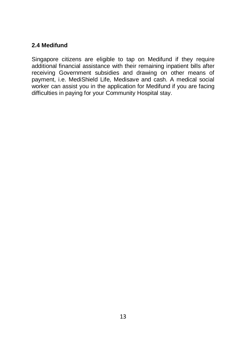## **2.4 Medifund**

Singapore citizens are eligible to tap on Medifund if they require additional financial assistance with their remaining inpatient bills after receiving Government subsidies and drawing on other means of payment, i.e. MediShield Life, Medisave and cash. A medical social worker can assist you in the application for Medifund if you are facing difficulties in paying for your Community Hospital stay.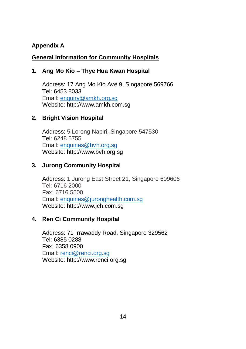# **Appendix A**

#### **General Information for Community Hospitals**

#### **1. Ang Mo Kio – Thye Hua Kwan Hospital**

Address: 17 Ang Mo Kio Ave 9, Singapore 569766 Tel: 6453 8033 Email[: enquiry@amkh.org.sg](mailto:enquiry@amkh.org.sg) Website: http://www.amkh.com.sg

#### **2. Bright Vision Hospital**

Address: 5 Lorong Napiri, Singapore 547530 Tel: 6248 5755 Email[: enquiries@bvh.org.sg](mailto:enquiries@bvh.org.sg) Website: http://www.bvh.org.sg

#### **3. Jurong Community Hospital**

Address: 1 Jurong East Street 21, Singapore 609606 Tel: 6716 2000 Fax: 6716 5500 Email[: enquiries@juronghealth.com.sg](mailto:enquiries@juronghealth.com.sg) Website: http://www.jch.com.sg

#### **4. Ren Ci Community Hospital**

Address: 71 Irrawaddy Road, Singapore 329562 Tel: 6385 0288 Fax: 6358 0900 Email[: renci@renci.org.sg](mailto:renci@renci.org.sg) Website: http://www.renci.org.sg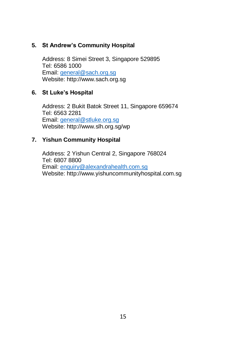## **5. St Andrew's Community Hospital**

Address: 8 Simei Street 3, Singapore 529895 Tel: 6586 1000 Email[: general@sach.org.sg](mailto:general@sach.org.sg) Website: http://www.sach.org.sg

#### **6. St Luke's Hospital**

Address: 2 Bukit Batok Street 11, Singapore 659674 Tel: 6563 2281 Email[: general@stluke.org.sg](mailto:general@stluke.org.sg) Website: http://www.slh.org.sg/wp

#### **7. Yishun Community Hospital**

Address: 2 Yishun Central 2, Singapore 768024 Tel: 6807 8800 Email[: enquiry@alexandrahealth.com.sg](mailto:enquiry@alexandrahealth.com.sg) Website: http://www.yishuncommunityhospital.com.sg